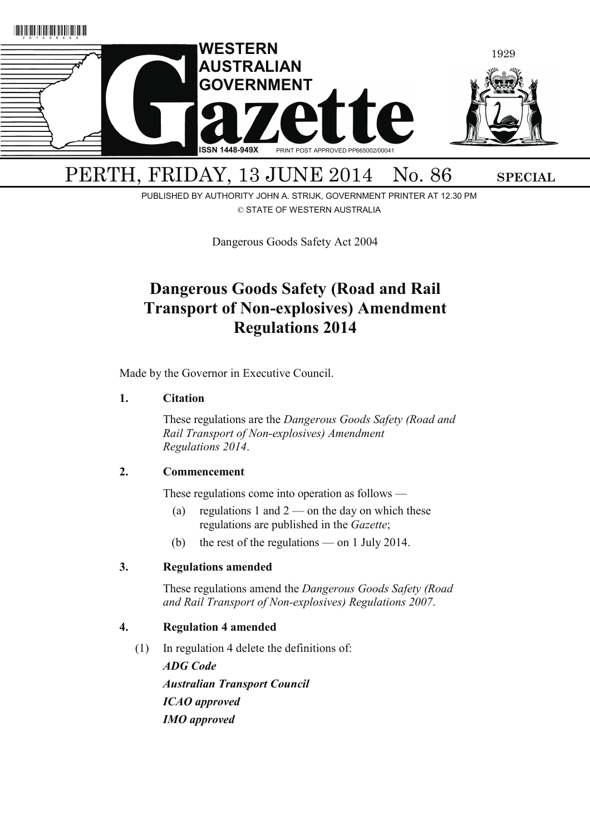

PUBLISHED BY AUTHORITY JOHN A. STRIJK, GOVERNMENT PRINTER AT 12.30 PM © STATE OF WESTERN AUSTRALIA

Dangerous Goods Safety Act 2004

# **Dangerous Goods Safety (Road and Rail Transport of Non-explosives) Amendment Regulations 2014**

Made by the Governor in Executive Council.

# **1. Citation**

 These regulations are the *Dangerous Goods Safety (Road and Rail Transport of Non-explosives) Amendment Regulations 2014*.

# **2. Commencement**

These regulations come into operation as follows —

- (a) regulations 1 and  $2$  on the day on which these regulations are published in the *Gazette*;
- (b) the rest of the regulations on 1 July 2014.

# **3. Regulations amended**

 These regulations amend the *Dangerous Goods Safety (Road and Rail Transport of Non-explosives) Regulations 2007*.

# **4. Regulation 4 amended**

(1) In regulation 4 delete the definitions of:

*ADG Code Australian Transport Council ICAO approved IMO approved*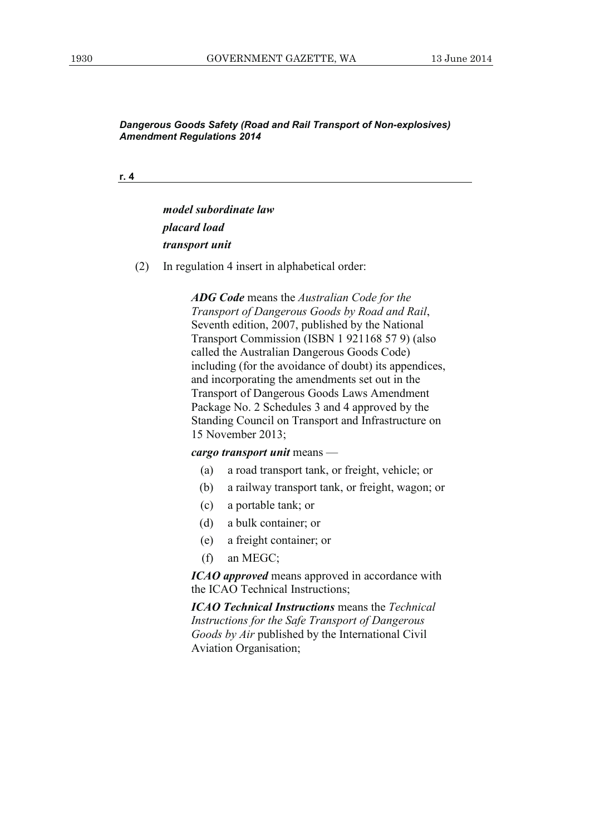**r. 4**

*model subordinate law placard load transport unit* 

(2) In regulation 4 insert in alphabetical order:

*ADG Code* means the *Australian Code for the Transport of Dangerous Goods by Road and Rail*, Seventh edition, 2007, published by the National Transport Commission (ISBN 1 921168 57 9) (also called the Australian Dangerous Goods Code) including (for the avoidance of doubt) its appendices, and incorporating the amendments set out in the Transport of Dangerous Goods Laws Amendment Package No. 2 Schedules 3 and 4 approved by the Standing Council on Transport and Infrastructure on 15 November 2013;

#### *cargo transport unit* means —

- (a) a road transport tank, or freight, vehicle; or
- (b) a railway transport tank, or freight, wagon; or
- (c) a portable tank; or
- (d) a bulk container; or
- (e) a freight container; or
- (f) an MEGC;

*ICAO approved* means approved in accordance with the ICAO Technical Instructions;

*ICAO Technical Instructions* means the *Technical Instructions for the Safe Transport of Dangerous Goods by Air* published by the International Civil Aviation Organisation;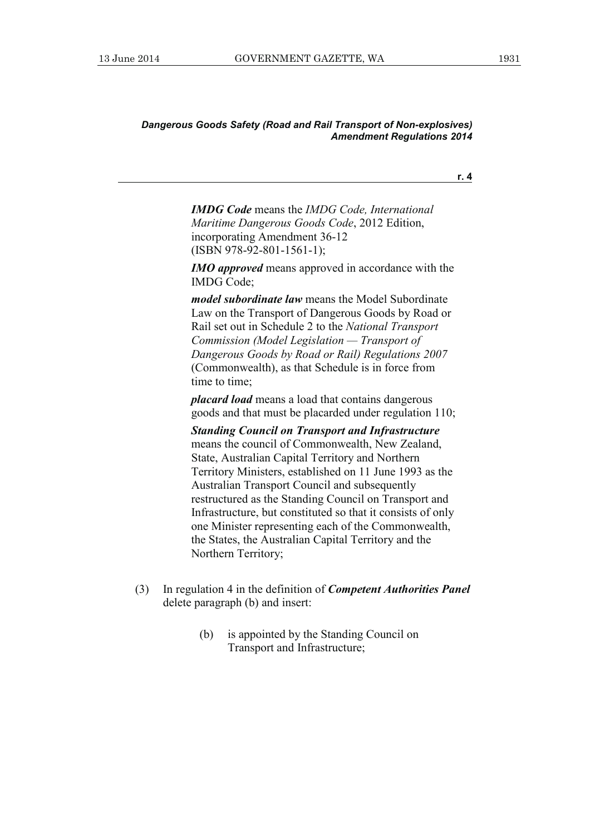**r. 4**

*IMDG Code* means the *IMDG Code, International Maritime Dangerous Goods Code*, 2012 Edition, incorporating Amendment 36-12 (ISBN 978-92-801-1561-1);

*IMO approved* means approved in accordance with the IMDG Code;

*model subordinate law* means the Model Subordinate Law on the Transport of Dangerous Goods by Road or Rail set out in Schedule 2 to the *National Transport Commission (Model Legislation — Transport of Dangerous Goods by Road or Rail) Regulations 2007* (Commonwealth), as that Schedule is in force from time to time;

*placard load* means a load that contains dangerous goods and that must be placarded under regulation 110;

*Standing Council on Transport and Infrastructure* means the council of Commonwealth, New Zealand, State, Australian Capital Territory and Northern Territory Ministers, established on 11 June 1993 as the Australian Transport Council and subsequently restructured as the Standing Council on Transport and Infrastructure, but constituted so that it consists of only one Minister representing each of the Commonwealth, the States, the Australian Capital Territory and the Northern Territory;

- (3) In regulation 4 in the definition of *Competent Authorities Panel* delete paragraph (b) and insert:
	- (b) is appointed by the Standing Council on Transport and Infrastructure;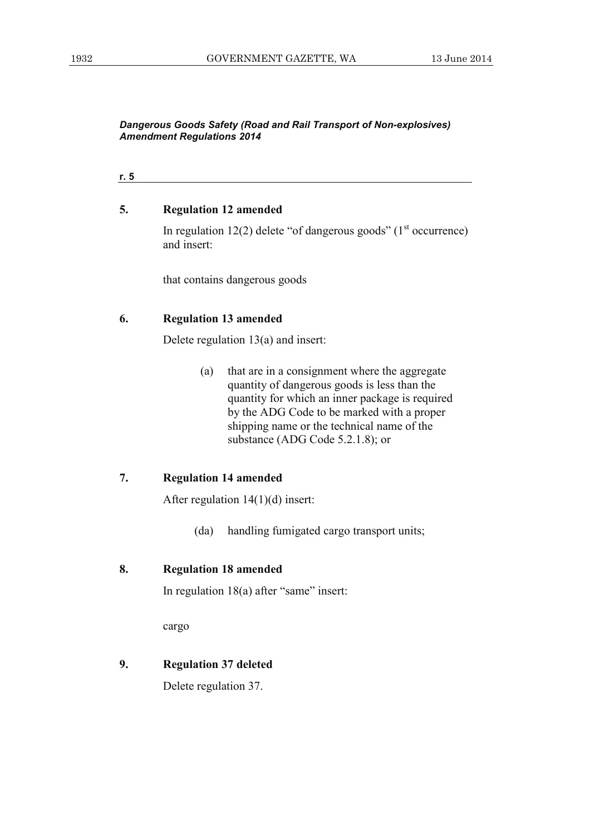**r. 5**

#### **5. Regulation 12 amended**

In regulation 12(2) delete "of dangerous goods" ( $1<sup>st</sup>$  occurrence) and insert:

that contains dangerous goods

# **6. Regulation 13 amended**

Delete regulation 13(a) and insert:

 (a) that are in a consignment where the aggregate quantity of dangerous goods is less than the quantity for which an inner package is required by the ADG Code to be marked with a proper shipping name or the technical name of the substance (ADG Code 5.2.1.8); or

# **7. Regulation 14 amended**

After regulation 14(1)(d) insert:

(da) handling fumigated cargo transport units;

#### **8. Regulation 18 amended**

In regulation 18(a) after "same" insert:

cargo

# **9. Regulation 37 deleted**

Delete regulation 37.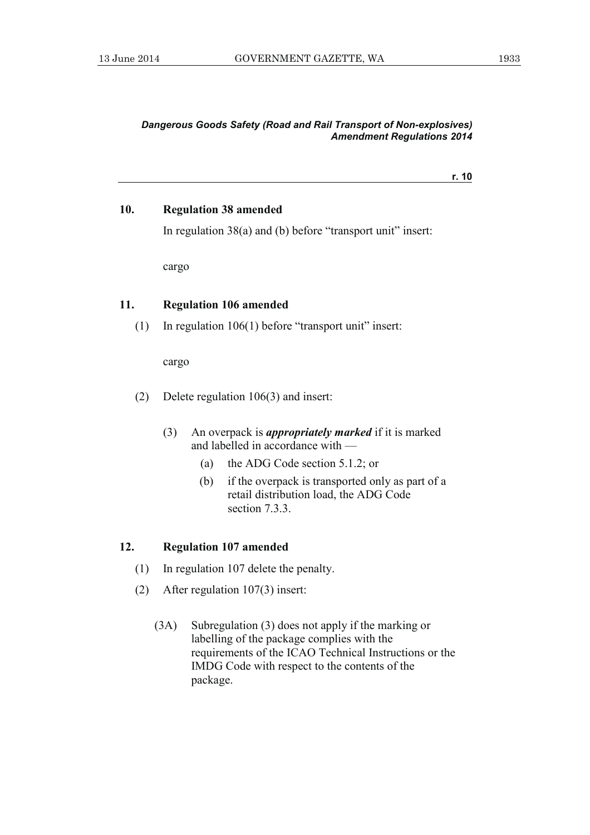**r. 10**

#### **10. Regulation 38 amended**

In regulation 38(a) and (b) before "transport unit" insert:

cargo

# **11. Regulation 106 amended**

(1) In regulation 106(1) before "transport unit" insert:

cargo

- (2) Delete regulation 106(3) and insert:
	- (3) An overpack is *appropriately marked* if it is marked and labelled in accordance with —
		- (a) the ADG Code section 5.1.2; or
		- (b) if the overpack is transported only as part of a retail distribution load, the ADG Code section 7.3.3.

#### **12. Regulation 107 amended**

- (1) In regulation 107 delete the penalty.
- (2) After regulation 107(3) insert:
	- (3A) Subregulation (3) does not apply if the marking or labelling of the package complies with the requirements of the ICAO Technical Instructions or the IMDG Code with respect to the contents of the package.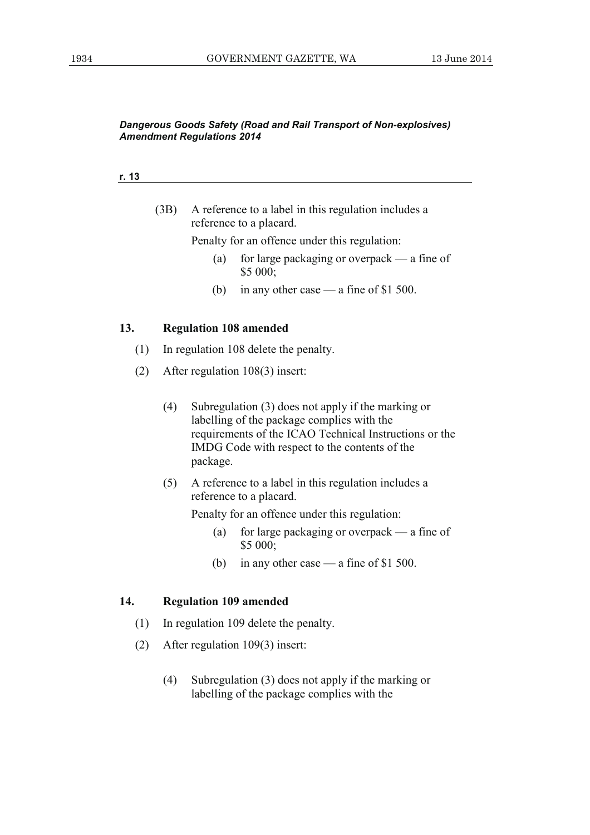#### **r. 13**

 (3B) A reference to a label in this regulation includes a reference to a placard.

Penalty for an offence under this regulation:

- (a) for large packaging or overpack a fine of \$5 000;
- (b) in any other case a fine of \$1 500.

#### **13. Regulation 108 amended**

- (1) In regulation 108 delete the penalty.
- (2) After regulation 108(3) insert:
	- (4) Subregulation (3) does not apply if the marking or labelling of the package complies with the requirements of the ICAO Technical Instructions or the IMDG Code with respect to the contents of the package.
	- (5) A reference to a label in this regulation includes a reference to a placard.

Penalty for an offence under this regulation:

- (a) for large packaging or overpack a fine of \$5 000;
- (b) in any other case a fine of \$1 500.

#### **14. Regulation 109 amended**

- (1) In regulation 109 delete the penalty.
- (2) After regulation 109(3) insert:
	- (4) Subregulation (3) does not apply if the marking or labelling of the package complies with the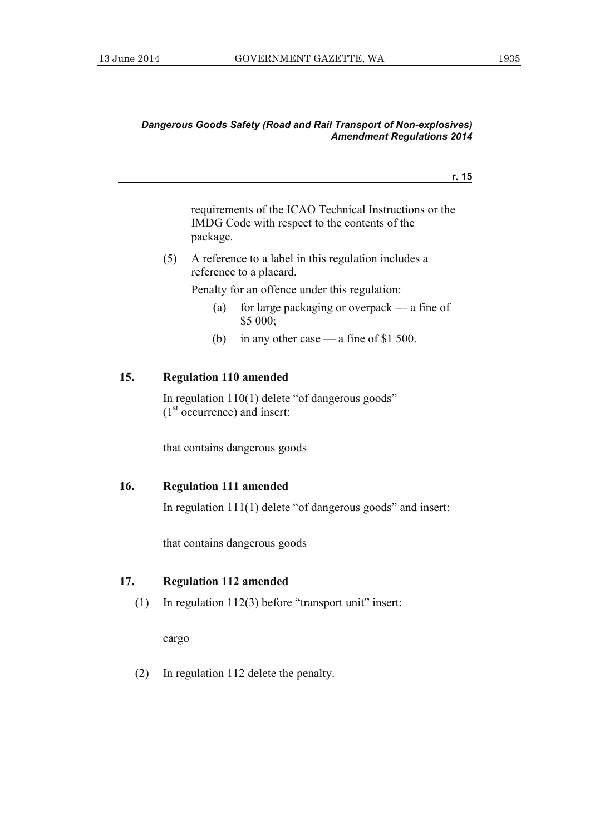**r. 15**

requirements of the ICAO Technical Instructions or the IMDG Code with respect to the contents of the package.

 (5) A reference to a label in this regulation includes a reference to a placard.

Penalty for an offence under this regulation:

- (a) for large packaging or overpack a fine of \$5 000;
- (b) in any other case a fine of \$1 500.

#### **15. Regulation 110 amended**

 In regulation 110(1) delete "of dangerous goods"  $(1<sup>st</sup> occurrence)$  and insert:

that contains dangerous goods

# **16. Regulation 111 amended**

In regulation 111(1) delete "of dangerous goods" and insert:

that contains dangerous goods

# **17. Regulation 112 amended**

(1) In regulation 112(3) before "transport unit" insert:

cargo

(2) In regulation 112 delete the penalty.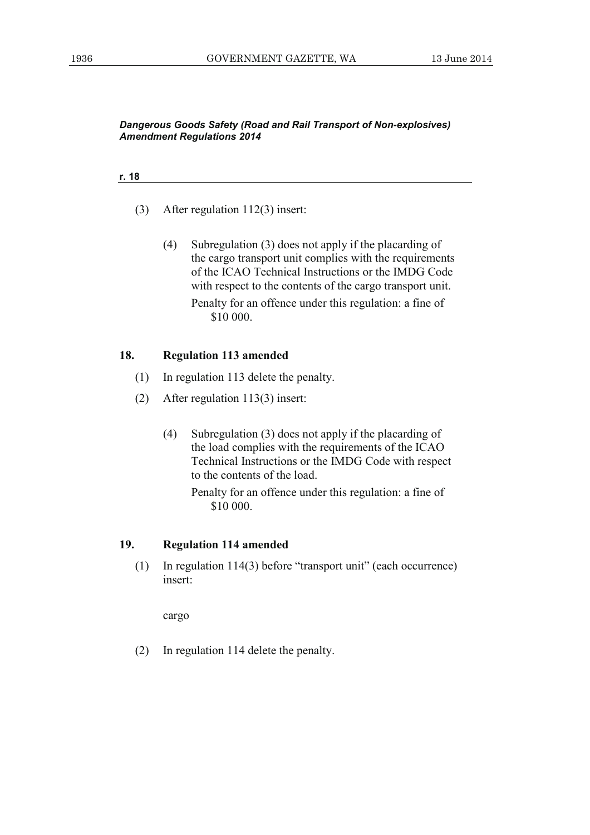#### **r. 18**

- (3) After regulation 112(3) insert:
	- (4) Subregulation (3) does not apply if the placarding of the cargo transport unit complies with the requirements of the ICAO Technical Instructions or the IMDG Code with respect to the contents of the cargo transport unit.

 Penalty for an offence under this regulation: a fine of \$10 000.

#### **18. Regulation 113 amended**

- (1) In regulation 113 delete the penalty.
- (2) After regulation 113(3) insert:
	- (4) Subregulation (3) does not apply if the placarding of the load complies with the requirements of the ICAO Technical Instructions or the IMDG Code with respect to the contents of the load.

## **19. Regulation 114 amended**

 (1) In regulation 114(3) before "transport unit" (each occurrence) insert:

cargo

(2) In regulation 114 delete the penalty.

Penalty for an offence under this regulation: a fine of \$10 000.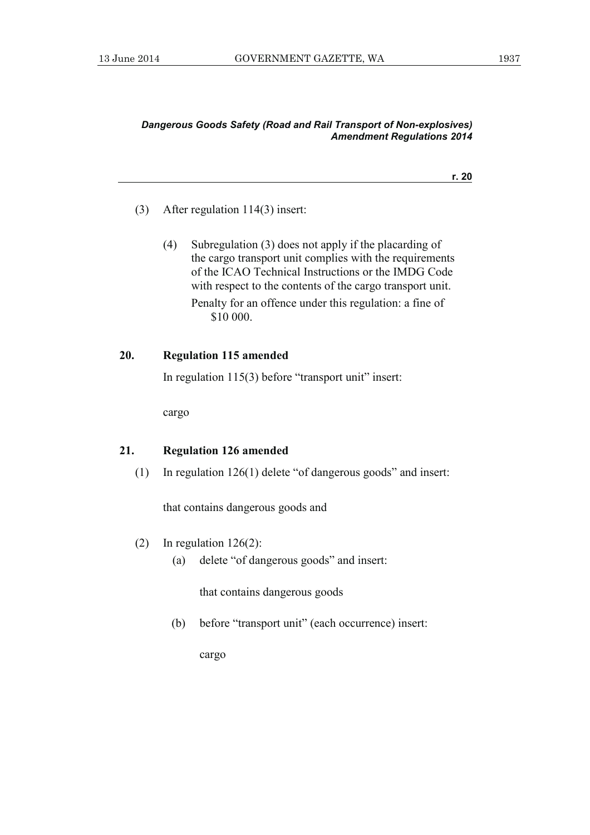#### **r. 20**

- (3) After regulation 114(3) insert:
	- (4) Subregulation (3) does not apply if the placarding of the cargo transport unit complies with the requirements of the ICAO Technical Instructions or the IMDG Code with respect to the contents of the cargo transport unit.

 Penalty for an offence under this regulation: a fine of \$10 000.

# **20. Regulation 115 amended**

In regulation 115(3) before "transport unit" insert:

cargo

# **21. Regulation 126 amended**

(1) In regulation 126(1) delete "of dangerous goods" and insert:

that contains dangerous goods and

- (2) In regulation 126(2):
	- (a) delete "of dangerous goods" and insert:

that contains dangerous goods

(b) before "transport unit" (each occurrence) insert:

cargo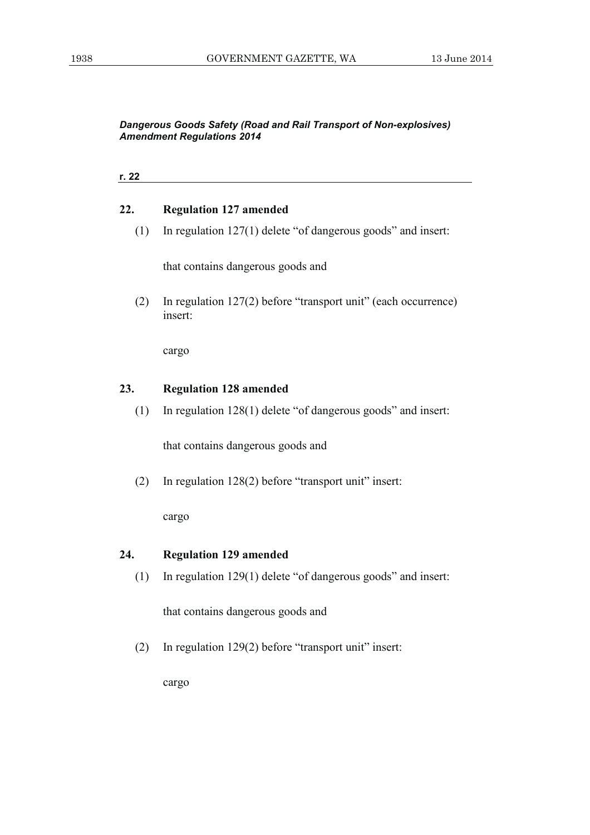| 22. | <b>Regulation 127 amended</b>                                               |
|-----|-----------------------------------------------------------------------------|
| (1) | In regulation $127(1)$ delete "of dangerous goods" and insert:              |
|     | that contains dangerous goods and                                           |
| (2) | In regulation $127(2)$ before "transport unit" (each occurrence)<br>insert: |
|     | cargo                                                                       |
|     |                                                                             |
| 23. | <b>Regulation 128 amended</b>                                               |
| (1) | In regulation $128(1)$ delete "of dangerous goods" and insert:              |
|     | that contains dangerous goods and                                           |
| (2) | In regulation $128(2)$ before "transport unit" insert:                      |

# **24. Regulation 129 amended**

(1) In regulation 129(1) delete "of dangerous goods" and insert:

that contains dangerous goods and

(2) In regulation 129(2) before "transport unit" insert:

cargo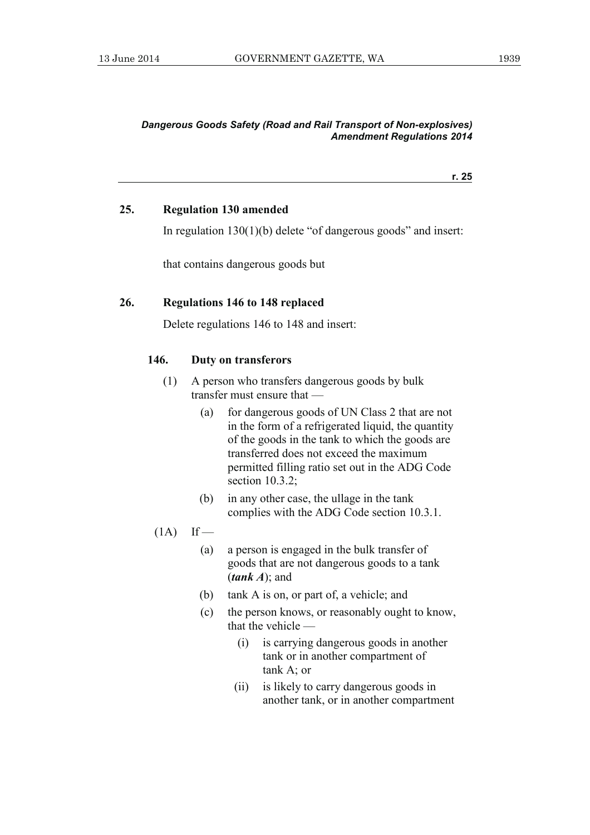**r. 25**

#### **25. Regulation 130 amended**

In regulation 130(1)(b) delete "of dangerous goods" and insert:

that contains dangerous goods but

#### **26. Regulations 146 to 148 replaced**

Delete regulations 146 to 148 and insert:

#### **146. Duty on transferors**

- (1) A person who transfers dangerous goods by bulk transfer must ensure that —
	- (a) for dangerous goods of UN Class 2 that are not in the form of a refrigerated liquid, the quantity of the goods in the tank to which the goods are transferred does not exceed the maximum permitted filling ratio set out in the ADG Code section 10.3.2;
	- (b) in any other case, the ullage in the tank complies with the ADG Code section 10.3.1.
- $(1A)$  If
	- (a) a person is engaged in the bulk transfer of goods that are not dangerous goods to a tank (*tank A*); and
	- (b) tank A is on, or part of, a vehicle; and
	- (c) the person knows, or reasonably ought to know, that the vehicle —
		- (i) is carrying dangerous goods in another tank or in another compartment of tank A; or
		- (ii) is likely to carry dangerous goods in another tank, or in another compartment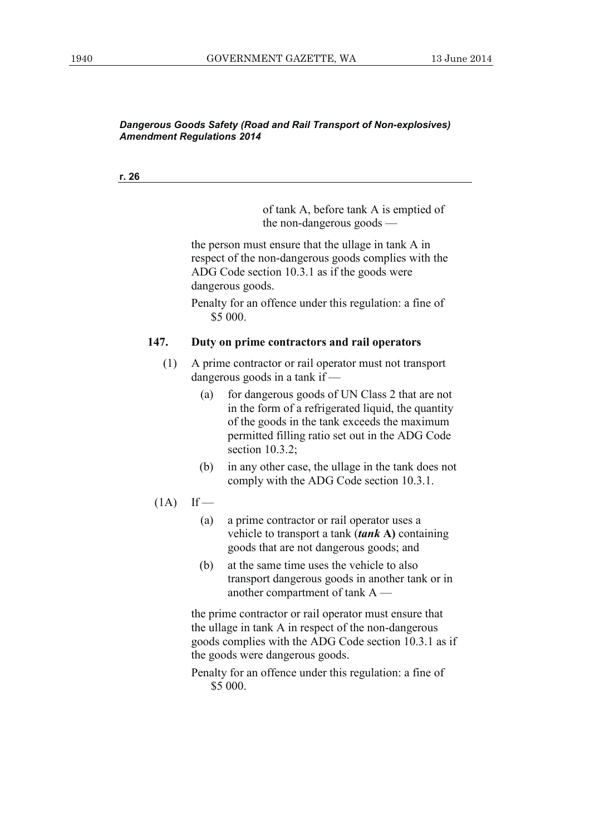**r. 26**

of tank A, before tank A is emptied of the non-dangerous goods —

 the person must ensure that the ullage in tank A in respect of the non-dangerous goods complies with the ADG Code section 10.3.1 as if the goods were dangerous goods.

 Penalty for an offence under this regulation: a fine of \$5 000.

#### **147. Duty on prime contractors and rail operators**

- (1) A prime contractor or rail operator must not transport dangerous goods in a tank if —
	- (a) for dangerous goods of UN Class 2 that are not in the form of a refrigerated liquid, the quantity of the goods in the tank exceeds the maximum permitted filling ratio set out in the ADG Code section 10.3.2;
	- (b) in any other case, the ullage in the tank does not comply with the ADG Code section 10.3.1.
- $(1A)$  If
	- (a) a prime contractor or rail operator uses a vehicle to transport a tank (*tank* **A)** containing goods that are not dangerous goods; and
	- (b) at the same time uses the vehicle to also transport dangerous goods in another tank or in another compartment of tank A —

 the prime contractor or rail operator must ensure that the ullage in tank A in respect of the non-dangerous goods complies with the ADG Code section 10.3.1 as if the goods were dangerous goods.

 Penalty for an offence under this regulation: a fine of \$5 000.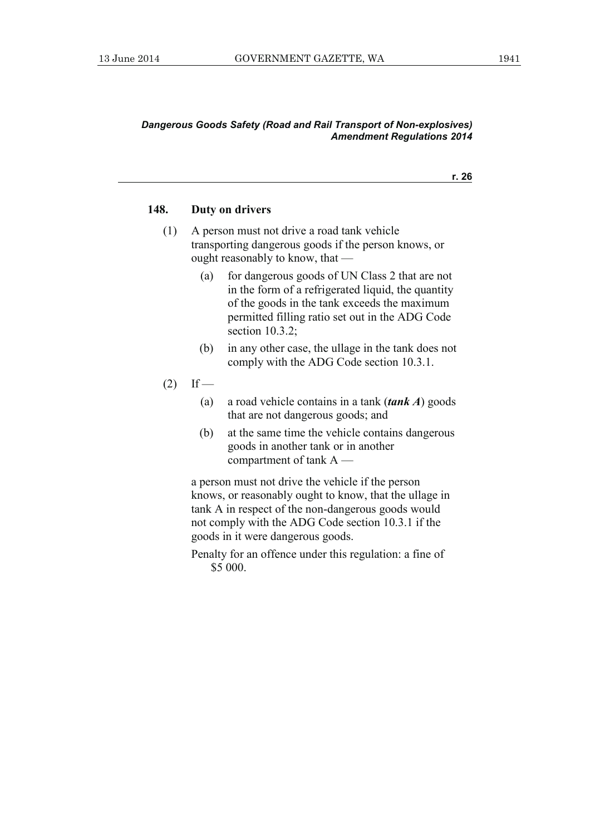#### **148. Duty on drivers**

- (1) A person must not drive a road tank vehicle transporting dangerous goods if the person knows, or ought reasonably to know, that —
	- (a) for dangerous goods of UN Class 2 that are not in the form of a refrigerated liquid, the quantity of the goods in the tank exceeds the maximum permitted filling ratio set out in the ADG Code section 10.3.2;
	- (b) in any other case, the ullage in the tank does not comply with the ADG Code section 10.3.1.
- $(2)$  If
	- (a) a road vehicle contains in a tank (*tank A*) goods that are not dangerous goods; and
	- (b) at the same time the vehicle contains dangerous goods in another tank or in another compartment of tank A —

 a person must not drive the vehicle if the person knows, or reasonably ought to know, that the ullage in tank A in respect of the non-dangerous goods would not comply with the ADG Code section 10.3.1 if the goods in it were dangerous goods.

 Penalty for an offence under this regulation: a fine of \$5 000.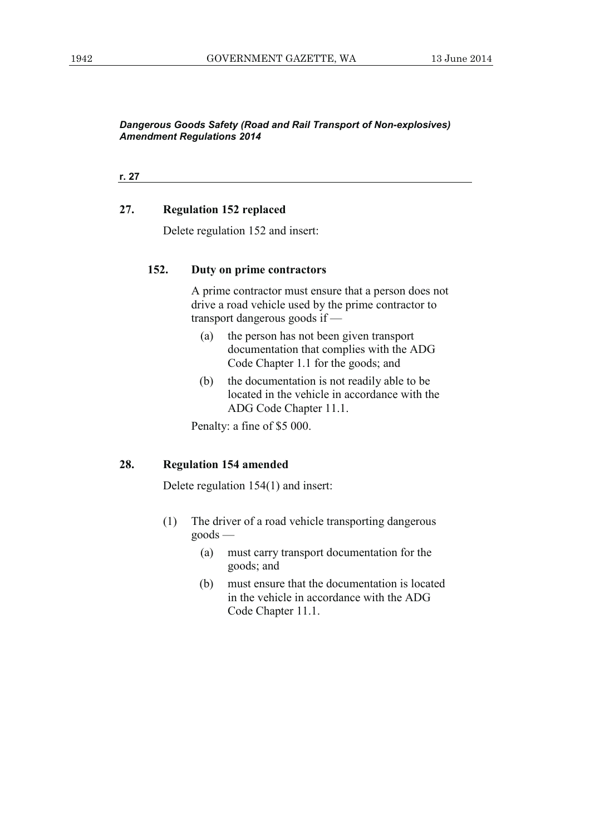**r. 27**

# **27. Regulation 152 replaced**

Delete regulation 152 and insert:

# **152. Duty on prime contractors**

 A prime contractor must ensure that a person does not drive a road vehicle used by the prime contractor to transport dangerous goods if —

- (a) the person has not been given transport documentation that complies with the ADG Code Chapter 1.1 for the goods; and
- (b) the documentation is not readily able to be located in the vehicle in accordance with the ADG Code Chapter 11.1.

Penalty: a fine of \$5 000.

#### **28. Regulation 154 amended**

Delete regulation 154(1) and insert:

- (1) The driver of a road vehicle transporting dangerous goods —
	- (a) must carry transport documentation for the goods; and
	- (b) must ensure that the documentation is located in the vehicle in accordance with the ADG Code Chapter 11.1.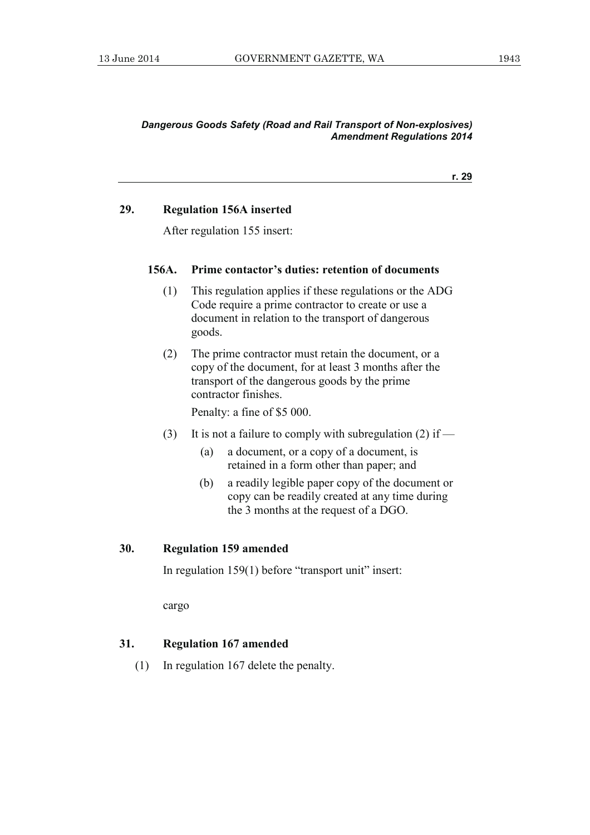**r. 29**

# **29. Regulation 156A inserted**

After regulation 155 insert:

#### **156A. Prime contactor's duties: retention of documents**

- (1) This regulation applies if these regulations or the ADG Code require a prime contractor to create or use a document in relation to the transport of dangerous goods.
- (2) The prime contractor must retain the document, or a copy of the document, for at least 3 months after the transport of the dangerous goods by the prime contractor finishes.

Penalty: a fine of \$5 000.

- (3) It is not a failure to comply with subregulation (2) if
	- (a) a document, or a copy of a document, is retained in a form other than paper; and
	- (b) a readily legible paper copy of the document or copy can be readily created at any time during the 3 months at the request of a DGO.

#### **30. Regulation 159 amended**

In regulation 159(1) before "transport unit" insert:

cargo

#### **31. Regulation 167 amended**

(1) In regulation 167 delete the penalty.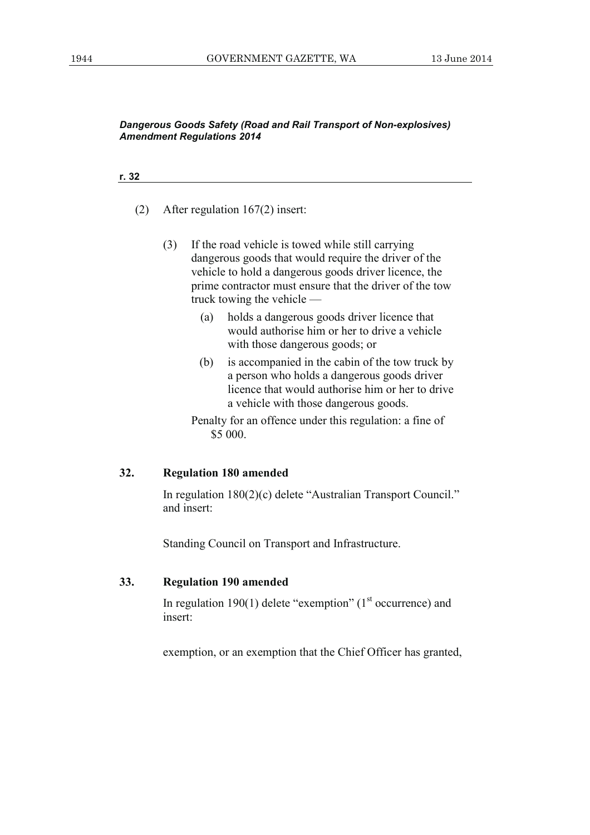#### **r. 32**

- (2) After regulation 167(2) insert:
	- (3) If the road vehicle is towed while still carrying dangerous goods that would require the driver of the vehicle to hold a dangerous goods driver licence, the prime contractor must ensure that the driver of the tow truck towing the vehicle —
		- (a) holds a dangerous goods driver licence that would authorise him or her to drive a vehicle with those dangerous goods; or
		- (b) is accompanied in the cabin of the tow truck by a person who holds a dangerous goods driver licence that would authorise him or her to drive a vehicle with those dangerous goods.
		- Penalty for an offence under this regulation: a fine of \$5 000.

#### **32. Regulation 180 amended**

 In regulation 180(2)(c) delete "Australian Transport Council." and insert:

Standing Council on Transport and Infrastructure.

#### **33. Regulation 190 amended**

In regulation 190(1) delete "exemption"  $(1<sup>st</sup>$  occurrence) and insert:

exemption, or an exemption that the Chief Officer has granted,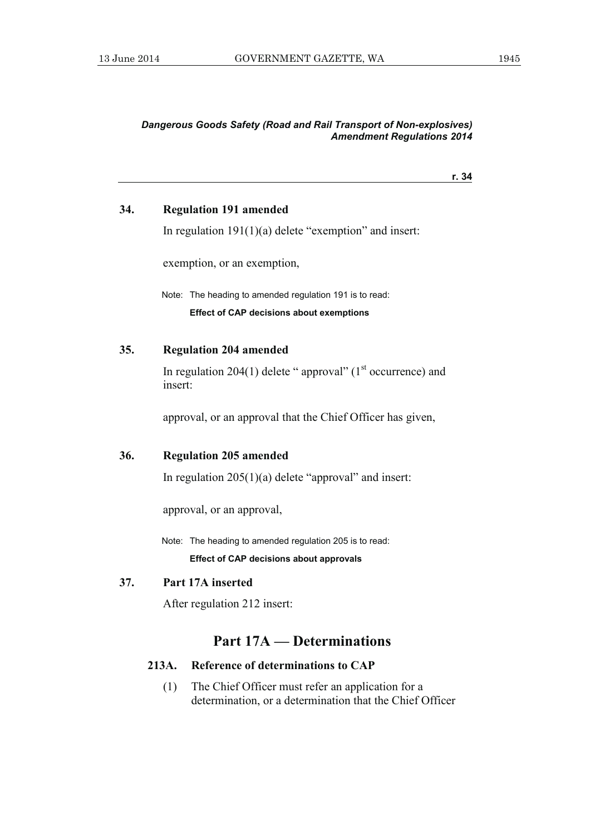#### **r. 34**

#### **34. Regulation 191 amended**

In regulation  $191(1)(a)$  delete "exemption" and insert:

exemption, or an exemption,

 Note: The heading to amended regulation 191 is to read: **Effect of CAP decisions about exemptions** 

#### **35. Regulation 204 amended**

In regulation 204(1) delete " approval" ( $1<sup>st</sup>$  occurrence) and insert:

approval, or an approval that the Chief Officer has given,

# **36. Regulation 205 amended**

In regulation  $205(1)(a)$  delete "approval" and insert:

approval, or an approval,

Note: The heading to amended regulation 205 is to read:

**Effect of CAP decisions about approvals** 

## **37. Part 17A inserted**

After regulation 212 insert:

# **Part 17A — Determinations**

#### **213A. Reference of determinations to CAP**

 (1) The Chief Officer must refer an application for a determination, or a determination that the Chief Officer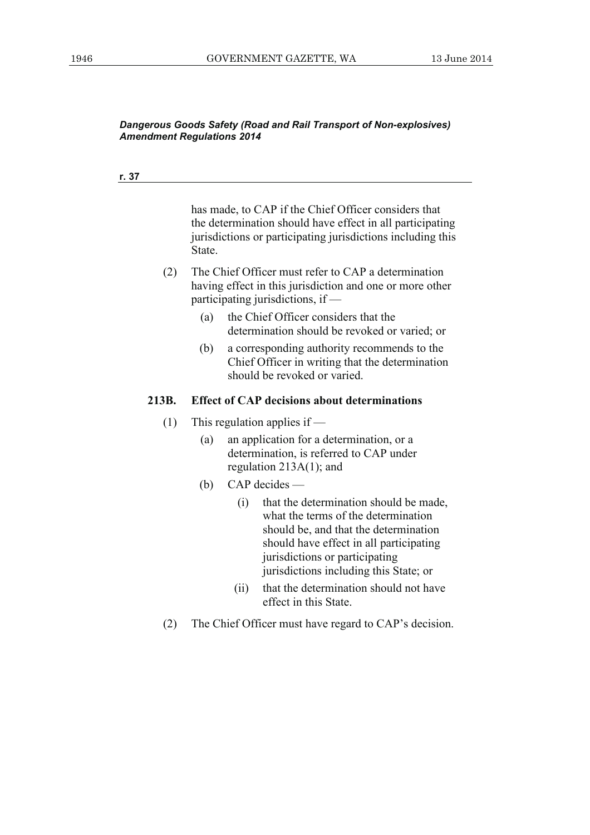#### **r. 37**

has made, to CAP if the Chief Officer considers that the determination should have effect in all participating jurisdictions or participating jurisdictions including this State.

- (2) The Chief Officer must refer to CAP a determination having effect in this jurisdiction and one or more other participating jurisdictions, if —
	- (a) the Chief Officer considers that the determination should be revoked or varied; or
	- (b) a corresponding authority recommends to the Chief Officer in writing that the determination should be revoked or varied.

#### **213B. Effect of CAP decisions about determinations**

- (1) This regulation applies if  $-$ 
	- (a) an application for a determination, or a determination, is referred to CAP under regulation 213A(1); and
	- (b) CAP decides
		- (i) that the determination should be made, what the terms of the determination should be, and that the determination should have effect in all participating jurisdictions or participating jurisdictions including this State; or
		- (ii) that the determination should not have effect in this State.
- (2) The Chief Officer must have regard to CAP's decision.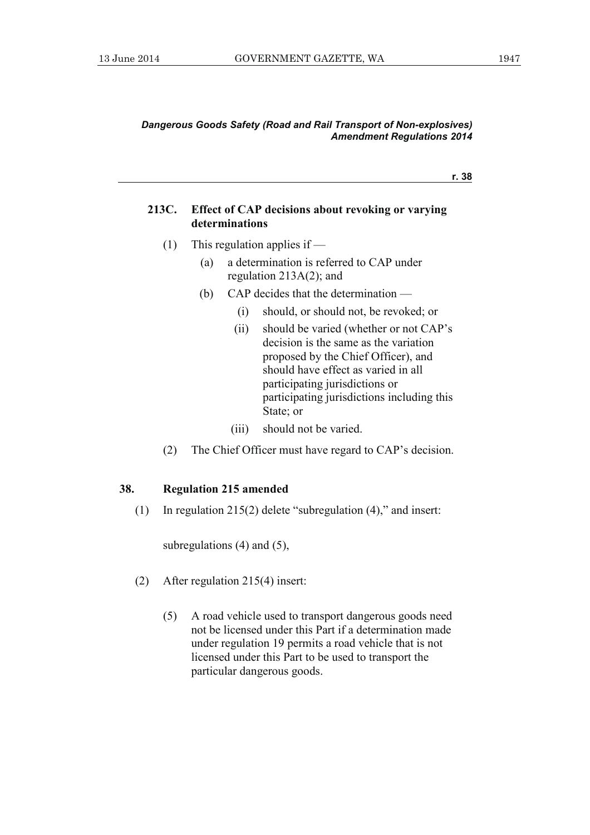**r. 38**

#### **213C. Effect of CAP decisions about revoking or varying determinations**

- (1) This regulation applies if
	- (a) a determination is referred to CAP under regulation 213A(2); and
	- (b) CAP decides that the determination
		- (i) should, or should not, be revoked; or
		- (ii) should be varied (whether or not CAP's decision is the same as the variation proposed by the Chief Officer), and should have effect as varied in all participating jurisdictions or participating jurisdictions including this State; or
		- (iii) should not be varied.
- (2) The Chief Officer must have regard to CAP's decision.

#### **38. Regulation 215 amended**

(1) In regulation 215(2) delete "subregulation (4)," and insert:

subregulations (4) and (5),

- (2) After regulation 215(4) insert:
	- (5) A road vehicle used to transport dangerous goods need not be licensed under this Part if a determination made under regulation 19 permits a road vehicle that is not licensed under this Part to be used to transport the particular dangerous goods.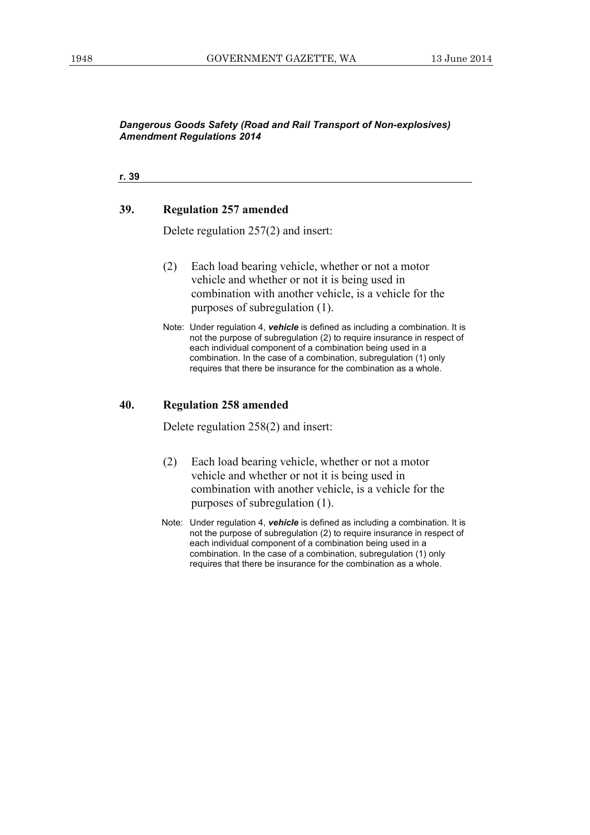**r. 39**

#### **39. Regulation 257 amended**

Delete regulation 257(2) and insert:

- (2) Each load bearing vehicle, whether or not a motor vehicle and whether or not it is being used in combination with another vehicle, is a vehicle for the purposes of subregulation (1).
- Note: Under regulation 4, *vehicle* is defined as including a combination. It is not the purpose of subregulation (2) to require insurance in respect of each individual component of a combination being used in a combination. In the case of a combination, subregulation (1) only requires that there be insurance for the combination as a whole.

#### **40. Regulation 258 amended**

Delete regulation 258(2) and insert:

- (2) Each load bearing vehicle, whether or not a motor vehicle and whether or not it is being used in combination with another vehicle, is a vehicle for the purposes of subregulation (1).
- Note: Under regulation 4, *vehicle* is defined as including a combination. It is not the purpose of subregulation (2) to require insurance in respect of each individual component of a combination being used in a combination. In the case of a combination, subregulation (1) only requires that there be insurance for the combination as a whole.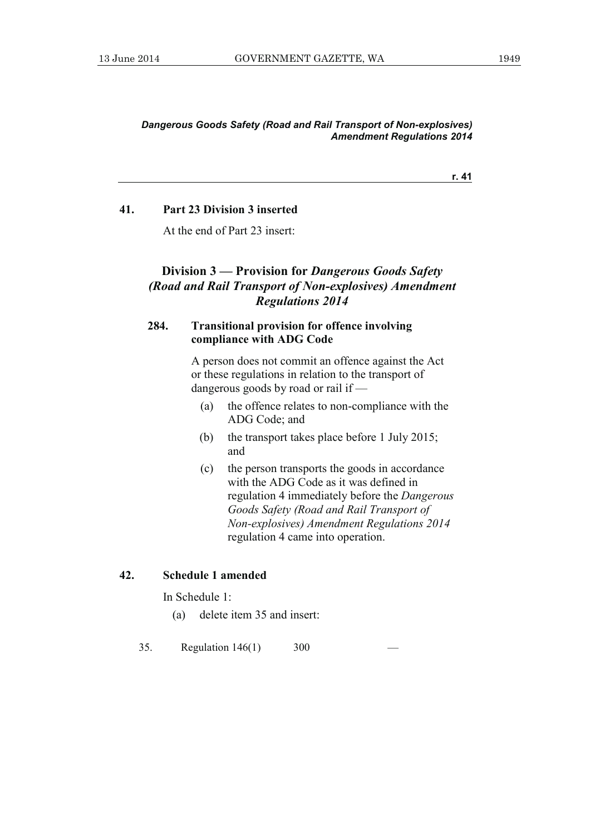**r. 41**

#### **41. Part 23 Division 3 inserted**

At the end of Part 23 insert:

# **Division 3 — Provision for** *Dangerous Goods Safety (Road and Rail Transport of Non-explosives) Amendment Regulations 2014*

# **284. Transitional provision for offence involving compliance with ADG Code**

 A person does not commit an offence against the Act or these regulations in relation to the transport of dangerous goods by road or rail if —

- (a) the offence relates to non-compliance with the ADG Code; and
- (b) the transport takes place before 1 July 2015; and
- (c) the person transports the goods in accordance with the ADG Code as it was defined in regulation 4 immediately before the *Dangerous Goods Safety (Road and Rail Transport of Non-explosives) Amendment Regulations 2014* regulation 4 came into operation.

# **42. Schedule 1 amended**

In Schedule 1:

(a) delete item 35 and insert:

35. Regulation  $146(1)$  300